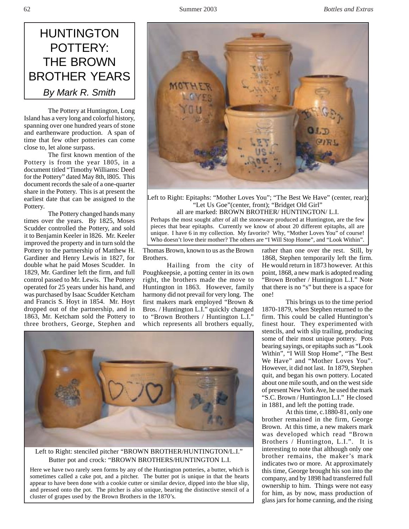

The Pottery at Huntington, Long Island has a very long and colorful history, spanning over one hundred years of stone and earthenware production. A span of time that few other potteries can come close to, let alone surpass.

The first known mention of the Pottery is from the year 1805, in a document titled "Timothy Williams: Deed for the Pottery" dated May 8th, l805. This document records the sale of a one-quarter share in the Pottery. This is at present the earliest date that can be assigned to the Pottery.

The Pottery changed hands many times over the years. By 1825, Moses Scudder controlled the Pottery, and sold it to Benjamin Keeler in l826. Mr. Keeler improved the property and in turn sold the Pottery to the partnership of Matthew H. Gardiner and Henry Lewis in 1827, for double what he paid Moses Scudder. In 1829, Mr. Gardiner left the firm, and full control passed to Mr. Lewis. The Pottery operated for 25 years under his hand, and was purchased by Isaac Scudder Ketcham and Francis S. Hoyt in 1854. Mr. Hoyt dropped out of the partnership, and in 1863, Mr. Ketcham sold the Pottery to three brothers, George, Stephen and



Left to Right: Epitaphs: "Mother Loves You"; "The Best We Have" (center, rear); "Let Us Goe"(center, front); "Bridget Old Girl" all are marked: BROWN BROTHER/ HUNTINGTON/ L.I.

Perhaps the most sought after of all the stoneware produced at Huntington, are the few pieces that bear epitaphs. Currently we know of about 20 different epitaphs, all are unique. I have 6 in my collection. My favorite? Why, "Mother Loves You" of course! Who doesn't love their mother? The others are "I Will Stop Home", and "Look Within".

Thomas Brown, known to us as the Brown Brothers.

Hailing from the city of Poughkeepsie, a potting center in its own right, the brothers made the move to Huntington in 1863. However, family harmony did not prevail for very long. The first makers mark employed "Brown & Bros. / Huntington L.I." quickly changed to "Brown Brothers / Huntington L.I." which represents all brothers equally, rather than one over the rest. Still, by 1868, Stephen temporarily left the firm. He would return in 1873 however. At this point, 1868, a new mark is adopted reading "Brown Brother / Huntington L.I." Note that there is no "s" but there is a space for one!

This brings us to the time period 1870-1879, when Stephen returned to the firm. This could be called Huntington's finest hour. They experimented with stencils, and with slip trailing, producing some of their most unique pottery. Pots bearing sayings, or epitaphs such as "Look Within", "I Will Stop Home", "The Best We Have" and "Mother Loves You". However, it did not last. In 1879, Stephen quit, and began his own pottery. Located about one mile south, and on the west side of present New York Ave, he used the mark "S.C. Brown / Huntington L.I." He closed in 1881, and left the potting trade.

At this time, c.1880-81, only one brother remained in the firm, George Brown. At this time, a new makers mark was developed which read "Brown Brothers / Huntington, L.I.". It is interesting to note that although only one brother remains, the maker's mark indicates two or more. At approximately this time, George brought his son into the company, and by 1898 had transferred full ownership to him. Things were not easy for him, as by now, mass production of glass jars for home canning, and the rising



Left to Right: stenciled pitcher "BROWN BROTHER/HUNTINGTON/L.I." Butter pot and crock: "BROWN BROTHERS/HUNTINGTON L.I.

Here we have two rarely seen forms by any of the Huntington potteries, a butter, which is sometimes called a cake pot, and a pitcher. The butter pot is unique in that the hearts appear to have been done with a cookie cutter or similar device, dipped into the blue slip, and pressed onto the pot. The pitcher is also unique, bearing the distinctive stencil of a cluster of grapes used by the Brown Brothers in the 1870's.